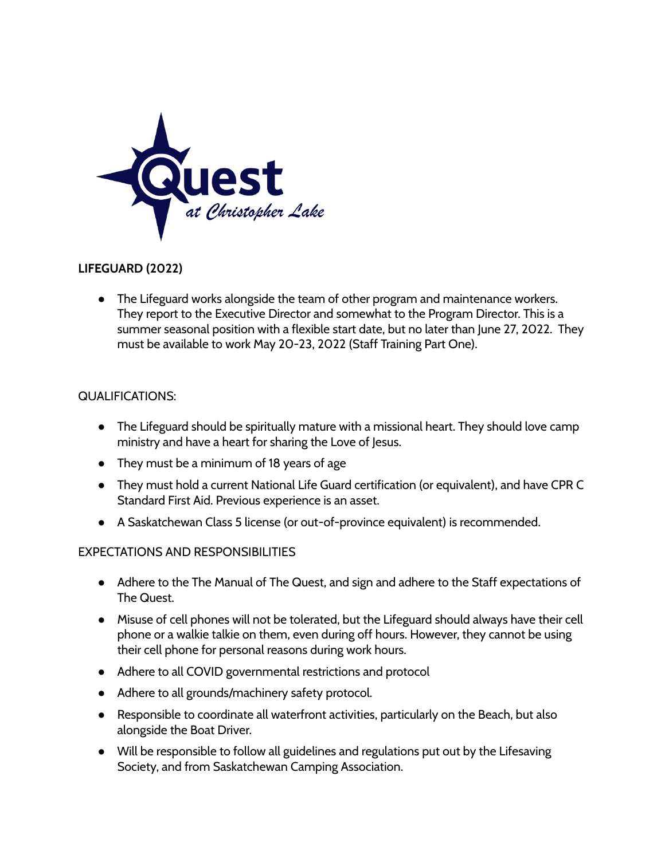

## **LIFEGUARD (2022)**

● The Lifeguard works alongside the team of other program and maintenance workers. They report to the Executive Director and somewhat to the Program Director. This is a summer seasonal position with a flexible start date, but no later than June 27, 2022. They must be available to work May 20-23, 2022 (Staff Training Part One).

## QUALIFICATIONS:

- The Lifeguard should be spiritually mature with a missional heart. They should love camp ministry and have a heart for sharing the Love of Jesus.
- They must be a minimum of 18 years of age
- They must hold a current National Life Guard certification (or equivalent), and have CPR C Standard First Aid. Previous experience is an asset.
- A Saskatchewan Class 5 license (or out-of-province equivalent) is recommended.

## EXPECTATIONS AND RESPONSIBILITIES

- Adhere to the The Manual of The Quest, and sign and adhere to the Staff expectations of The Quest.
- Misuse of cell phones will not be tolerated, but the Lifeguard should always have their cell phone or a walkie talkie on them, even during off hours. However, they cannot be using their cell phone for personal reasons during work hours.
- Adhere to all COVID governmental restrictions and protocol
- Adhere to all grounds/machinery safety protocol.
- Responsible to coordinate all waterfront activities, particularly on the Beach, but also alongside the Boat Driver.
- Will be responsible to follow all guidelines and regulations put out by the Lifesaving Society, and from Saskatchewan Camping Association.